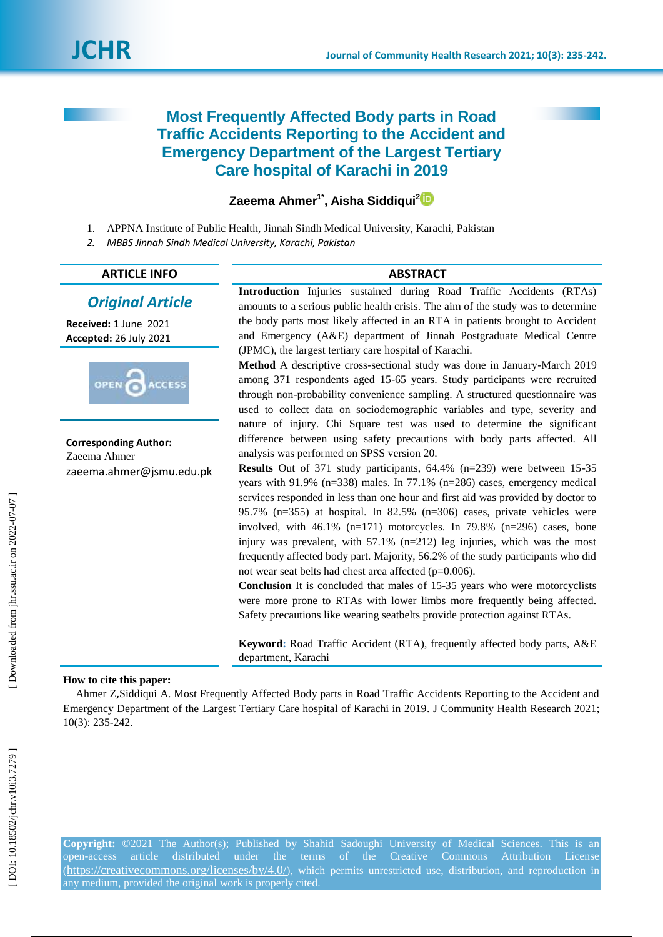# **Most Frequently Affected Body parts in Road Traffic Accidents Reporting to the Accident and Emergency Department of the Largest Tertiary Care hospital of Karachi in 2019**

**Zaeema Ahmer 1 \* , [Aisha Siddiqui](http://jhr.ssu.ac.ir/search.php?slc_lang=en&sid=1&auth=Siddiqui) [2](https://orcid.org/0000-0002-1681-7539)**

- 1 . APPNA Institute of Public Health, Jinnah Sindh Medical University, Karachi, Pakistan
- *2 . MBBS Jinnah Sindh Medical University, Karachi, Pakistan*

### **ARTICLE INFO ABSTRACT**

# *Original Article*

**Received:**  1 June 2021 **Accepted:** 26 July 2021



**Corresponding Author:** Zaeema Ahmer [zaeema.ahmer@jsmu.edu.pk](mailto:zaeema.ahmer@jsmu.edu.pk) **Introduction** Injuries sustained during Road Traffic Accidents (RTAs) amounts to a serious public health crisis. The aim of the study was to determine the body parts most likely affected in an RTA in patients brought to Accident and Emergency (A&E) department of Jinnah Postgraduate Medical Centre (JPMC), the largest tertiary care hospital of Karachi.

Method A descriptive cross-sectional study was done in January-March 2019 among 371 respondents aged 15 -65 years. Study participants were recruited through non -probability convenience sampling. A structured questionnaire was used to collect data on sociodemographic variables and type, severity and nature of injury. Chi Square test was used to determine the significant difference between using safety precautions with body parts affected. All analysis was performed on SPSS version 20.

**Results** Out of 371 study participants, 64.4% (n=239) were between 15-35 years with 91.9% (n=338) males. In 77.1% (n=286) cases, emergency medical services responded in less than one hour and first aid was provided by doctor to 95.7% (n=355) at hospital. In 82.5% (n=306) cases, private vehicles were involved, with  $46.1\%$  (n=171) motorcycles. In 79.8% (n=296) cases, bone injury was prevalent, with 57.1% (n=212) leg injuries, which was the most frequently affected body part. Majority, 56.2% of the study participants who did not wear seat belts had chest area affected (p=0.006).

**Conclusion** It is concluded that males of 15 -35 years who were motorcyclists were more prone to RTAs with lower limbs more frequently being affected. Safety precautions like wearing seatbelts provide protection against RTAs.

**Keyword :** Road Traffic Accident (RTA), frequently affected body parts, A&E department, Karachi

### **How to cite this paper:**

Ahmer Z ,[Siddiqui](http://jhr.ssu.ac.ir/search.php?slc_lang=en&sid=1&auth=Siddiqui) A. Most Frequently Affected Body parts in Road Traffic Accidents Reporting to the Accident and Emergency Department of the Largest Tertiary Care hospital of Karachi in 2019. J Community Health Research 2021; 10(3): 235 -242 .

**Copyright:** ©2021 The Author(s); Published by Shahid Sadoughi University of Medical Sciences. This is an open-access article distributed under the terms of the Creative Commons Attribution License  $(\text{https://creativecommons.org/licenses/by/4.0/">\ntilde{\mathsf{https://creativecommons.org/licenses/by/4.0/}{\mathsf{https://creativecommons.org/licenses/by/4.0/}{\mathsf{https://creativecommons.org/licenses/by/4.0/}{\mathsf{https://creativecommons.org/licenses/by/4.0/}{\mathsf{https://creativecommons.org/licenses/by/4.0/}{\mathsf{https://creativecommons.org/licenses/by/4.0/}{\mathsf{https://creativecommons.org/licenses/by/4.0/}{\mathsf{https://creativecommons.org/licenses/by/4.0/}{\mathsf{https://creativecommons.org/licenses/by/4.0/}{\mathsf{https://creativecommons.org/licenses/by/4.0/}{\mathsf{https://creativecommons.org/licenses/by/4.0/}{\mathsf{https://creativecommons.org/licenses/by/4.0/}{\mathsf{https://creativecommons.org/licenses/by/$  $(\text{https://creativecommons.org/licenses/by/4.0/">\ntilde{\mathsf{https://creativecommons.org/licenses/by/4.0/}{\mathsf{https://creativecommons.org/licenses/by/4.0/}{\mathsf{https://creativecommons.org/licenses/by/4.0/}{\mathsf{https://creativecommons.org/licenses/by/4.0/}{\mathsf{https://creativecommons.org/licenses/by/4.0/}{\mathsf{https://creativecommons.org/licenses/by/4.0/}{\mathsf{https://creativecommons.org/licenses/by/4.0/}{\mathsf{https://creativecommons.org/licenses/by/4.0/}{\mathsf{https://creativecommons.org/licenses/by/4.0/}{\mathsf{https://creativecommons.org/licenses/by/4.0/}{\mathsf{https://creativecommons.org/licenses/by/4.0/}{\mathsf{https://creativecommons.org/licenses/by/4.0/}{\mathsf{https://creativecommons.org/licenses/by/$  $(\text{https://creativecommons.org/licenses/by/4.0/">\ntilde{\mathsf{https://creativecommons.org/licenses/by/4.0/}{\mathsf{https://creativecommons.org/licenses/by/4.0/}{\mathsf{https://creativecommons.org/licenses/by/4.0/}{\mathsf{https://creativecommons.org/licenses/by/4.0/}{\mathsf{https://creativecommons.org/licenses/by/4.0/}{\mathsf{https://creativecommons.org/licenses/by/4.0/}{\mathsf{https://creativecommons.org/licenses/by/4.0/}{\mathsf{https://creativecommons.org/licenses/by/4.0/}{\mathsf{https://creativecommons.org/licenses/by/4.0/}{\mathsf{https://creativecommons.org/licenses/by/4.0/}{\mathsf{https://creativecommons.org/licenses/by/4.0/}{\mathsf{https://creativecommons.org/licenses/by/4.0/}{\mathsf{https://creativecommons.org/licenses/by/$ any medium, provided the original work is properly cited.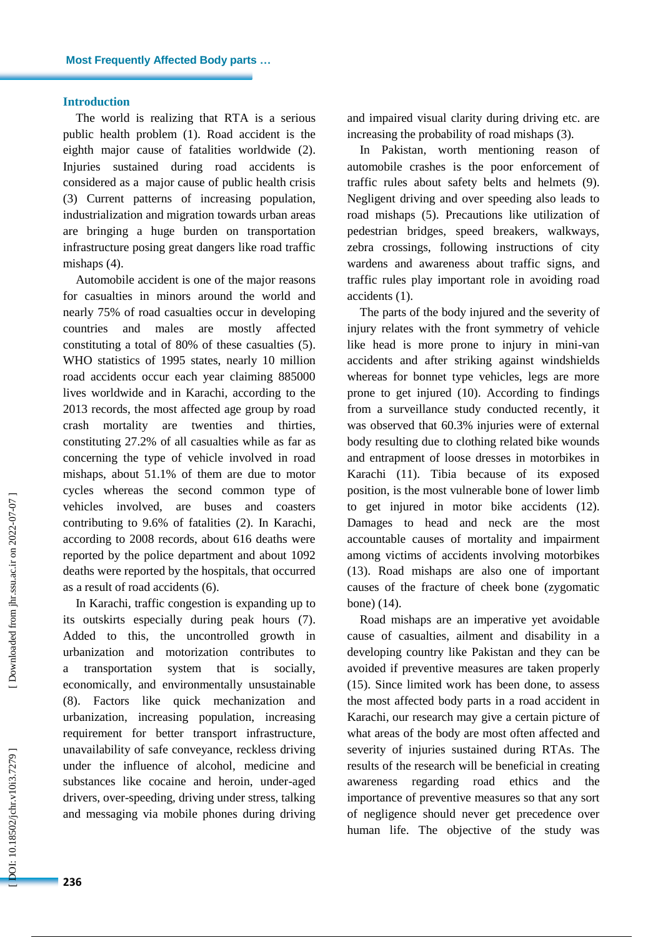### **Introduction**

The world is realizing that RTA is a serious public health problem ( 1 ) . Road accident is the eighth major cause of fatalities worldwide (2). Injuries sustained during road accidents is considered as a major cause of public health crisis (3) Current patterns of increasing population, industrialization and migration towards urban areas are bringing a huge burden on transportation infrastructure posing great dangers like road traffic mishaps (4).

Introduction<br>The world<br>public health<br>eighth major<br>Injuries sus<br>considered as<br>(3) Current<br>industrializati<br>are bringing<br>infrastructure<br>mishaps (4). Automobil<br>for casualties<br>nearly 75% o<br>countries and WHO statisti<br>road accide Automobile accident is one of the major reasons for casualties in minors around the world and nearly 75% of road casualties occur in developing countries and males are mostly affected constituting a total of 80% of these casualties ( 5 ). WHO statistics of 1995 states, nearly 10 million road accidents occur each year claiming 885000 lives worldwide and in Karachi, according to the 2013 records, the most affected age group by road crash mortality are twenties and thirties, constituting 27.2% of all casualties while as far as concerning the type of vehicle involved in road mishaps, about 51.1% of them are due to motor cycles whereas the second common type of vehicles involved, are buses and coasters contributing to 9.6% of fatalities ( 2 ). In Karachi, according to 2008 records, about 616 deaths were reported by the police department and about 1092 deaths were reported by the hospitals, that occurred as a result of road accidents ( 6 ) .

In Karachi, traffic congestion is expanding up to its outskirts especially during peak hours (7). Added to this, the uncontrolled growth in urbanization and motorization contributes to a transportation system that is socially, economically, and environmentally unsustainable (8). Factors like quick mechanization and urbanization, increasing population, increasing requirement for better transport infrastructure, unavailability of safe conveyance, reckless driving under the influence of alcohol, medicine and substances like cocaine and heroin, under -aged drivers, over -speeding, driving under stress, talking and messaging via mobile phones during driving

and impaired visual clarity during driving etc. are increasing the probability of road mishaps ( 3 ) .

In Pakistan, worth mentioning reason of automobile crashes is the poor enforcement of traffic rules about safety belts and helmets ( 9 ) . Negligent driving and over speeding also leads to road mishaps ( 5 ) . Precautions like utilization of pedestrian bridges, speed breakers, walkways, zebra crossings, following instructions of city wardens and awareness about traffic signs, and traffic rules play important role in avoiding road accidents ( 1 ).

The parts of the body injured and the severity of injury relates with the front symmetry of vehicle like head is more prone to injury in mini -van accidents and after striking against windshields whereas for bonnet type vehicles, legs are more prone to get injured (10 ) . According to findings from a surveillance study conducted recently, it was observed that 60.3% injuries were of external body resulting due to clothing related bike wounds and entrapment of loose dresses in motorbikes in Karachi (11 ) . Tibia because of its exposed position , is the most vulnerable bone of lower limb to get injured in motor bike accidents (12 ). Damages to head and neck are the most accountable causes of mortality and impairment among victims of accidents involving motorbikes (13). Road mishaps are also one of important causes of the fracture of cheek bone (zygomatic bone) (14 ) .

Road mishaps are an imperative yet avoidable cause of casualties, ailment and disability in a developing country like Pakistan and they can be avoided if preventive measures are taken properly (15). Since limited work has been done, to assess the most affected body parts in a road accident in Karachi, our research may give a certain picture of what areas of the body are most often affected and severity of injuries sustained during RTAs. The results of the research will be beneficial in creating awareness regarding road ethics and the importance of preventive measures so that any sort of negligence should never get precedence over human life. The objective of the study was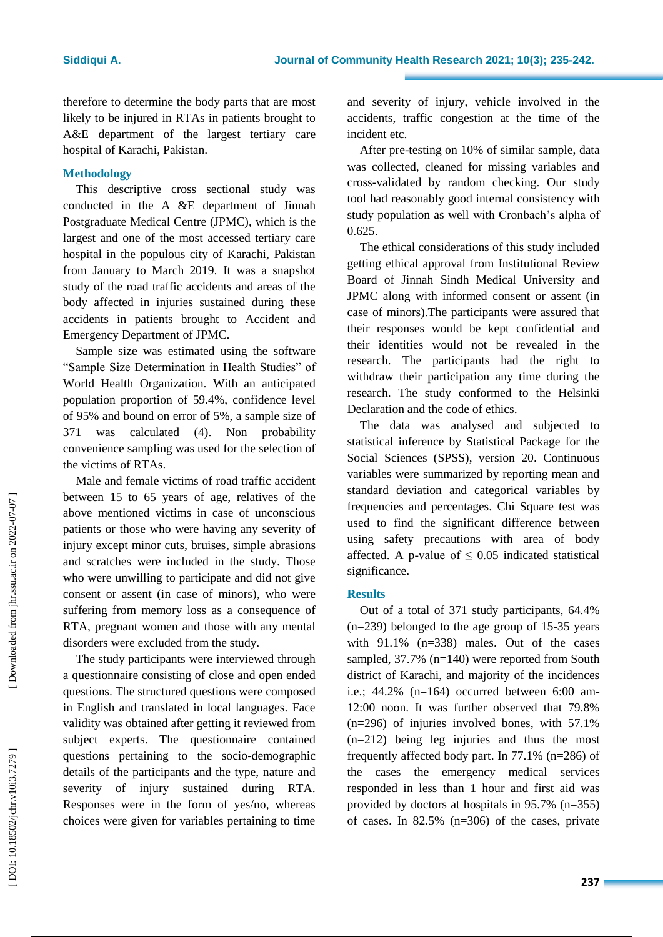therefore to determine the body parts that are most likely to be injured in RTAs in patients brought to A&E department of the largest tertiary care hospital of Karachi, Pakistan .

## **Methodolog y**

This descriptive cross sectional study was conducted in the A &E department of Jinnah Postgraduate Medical Centre (JPMC), which is the largest and one of the most accessed tertiary care hospital in the populous city of Karachi, Pakistan from January to March 2019. It was a snapshot study of the road traffic accidents and areas of the body affected in injuries sustained during these accidents in patients brought to Accident and Emergency Department of JPMC.

Sample size was estimated using the software "Sample Size Determination in Health Studies" of World Health Organization. With an anticipated population proportion of 59.4%, confidence level of 95% and bound on error of 5%, a sample size of 371 was calculated ( 4 ) . Non probability convenience sampling was used for the selection of the victims of RTAs.

Male and female victims of road traffic accident between 15 to 65 years of age , relatives of the above mentioned victims in case of unconscious patients or those who were having any severity of injury except minor cuts, bruises, simple abrasions and scratches were included in the study. Those who were unwilling to participate and did not give consent or assent (in case of minors), who were suffering from memory loss as a consequence of RTA, pregnant women and those with any mental disorders were excluded from the study.

The study participants were interviewed through a questionnaire consisting of close and open ended questions . The structured questions were composed in English and translated in local languages. Face validity was obtained after getting it reviewed from subject experts. The questionnaire contained questions pertaining to the socio -demographic details of the participants and the type, nature and severity of injury sustained during RTA. Responses were in the form of yes/no, whereas choices were given for variables pertaining to time

and severity of injury, vehicle involved in the accidents, traffic congestion at the time of the incident etc.

After pre -testing on 10% of similar sample, data was collected, cleaned for missing variables and cross -validated by random checking. Our study tool had reasonably good internal consistency with study population as well with Cronbach's alpha of 0.625.

The ethical considerations of this study included getting ethical approval from Institutional Review Board of Jinnah Sindh Medical University and JPMC along with informed consent or assent (in case of minors).The participants were assured that their responses would be kept confidential and their identities would not be revealed in the research. The participants had the right to withdraw their participation any time during the research. The study conformed to the Helsinki Declaration and the code of ethics.

The data was analysed and subjected to statistical inference by Statistical Package for the Social Sciences (SPSS), version 20. Continuous variables were summarized by reporting mean and standard deviation and categorical variables by frequencies and percentages. Chi Square test was used to find the significant difference between using safety precautions with area of body affected. A p-value of  $\leq 0.05$  indicated statistical significance.

### **Results**

Out of a total of 371 study participants, 64.4% (n=239) belonged to the age group of 15 -35 years with 91.1% (n=338) males. Out of the cases sampled, 37.7% (n=140) were reported from South district of Karachi, and majority of the incidences i.e.; 44.2% (n=164) occurred between 6:00 am - 12:00 noon. It was further observed that 79.8% (n=296) of injuries involved bones, with 57.1% (n=212) being leg injuries and thus the most frequently affected body part. In 77.1% (n=286) of the cases the emergency medical services responded in less than 1 hour and first aid was provided by doctors at hospitals in 95.7% (n=355) of cases. In 82.5% (n=306) of the cases , private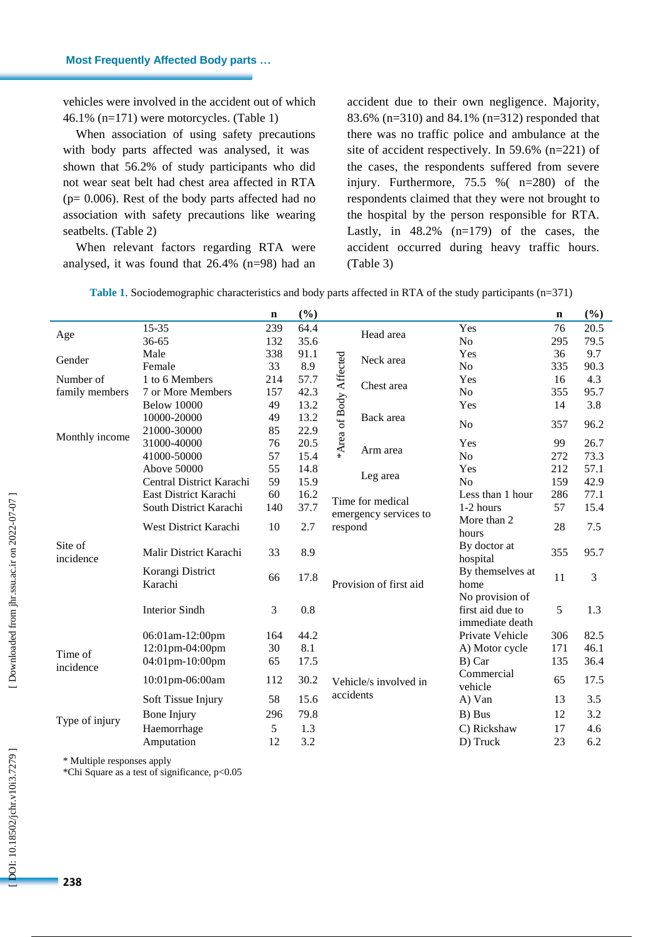vehicles were involved in the accident out of which 46.1% (n=171) were motorcycles. (Table 1 )

When association of using safety precautions with body parts affected was analysed, it was shown that 56.2% of study participants who did not wear seat belt had chest area affected in RTA (p= 0.006). Rest of th e body parts affected had no association with safety precautions like wearing seatbelts. (Table 2)

When relevant factors regarding RTA were analysed, it was found that 26.4% (n=98) had an

accident due to their own negligence . Majority , 83.6% (n=310) and 84.1% (n=312) responded that there was no traffic police and ambulance at the site of accident respectively. In 59.6% (n=221) of the cases, the respondents suffered from severe injury. Furthermore, 75.5 %( n=280) of the respondents claimed that they were not b rought to the hospital by the person responsible for RTA. Lastly, in 48.2% (n=179) of the cases, the accident occurred during heavy traffic hours. (Table 3)

|                      |                             | $\mathbf n$ | (%)  |                        |                                                |                                                        | $\mathbf n$ | (%)  |
|----------------------|-----------------------------|-------------|------|------------------------|------------------------------------------------|--------------------------------------------------------|-------------|------|
| Age                  | 15-35                       | 239         | 64.4 |                        | Head area                                      | Yes                                                    | 76          | 20.5 |
|                      | 36-65                       | 132         | 35.6 |                        |                                                | N <sub>o</sub>                                         | 295         | 79.5 |
| Gender               | Male                        | 338         | 91.1 |                        | Neck area                                      | Yes                                                    | 36          | 9.7  |
|                      | Female                      | 33          | 8.9  |                        |                                                | N <sub>o</sub>                                         | 335         | 90.3 |
| Number of            | 1 to 6 Members              | 214         | 57.7 | Chest area             | Yes                                            | 16                                                     | 4.3         |      |
| family members       | 7 or More Members           | 157         | 42.3 |                        |                                                | N <sub>o</sub>                                         | 355         | 95.7 |
|                      | <b>Below 10000</b>          | 49          | 13.2 |                        |                                                | Yes                                                    | 14          | 3.8  |
|                      | 10000-20000                 | 49          | 13.2 |                        | Back area                                      | N <sub>0</sub>                                         | 357         | 96.2 |
| Monthly income       | 21000-30000                 | 85          | 22.9 |                        |                                                |                                                        |             |      |
|                      | 31000-40000                 | 76          | 20.5 |                        | *Area of Body Affected<br>Arm area<br>Leg area | Yes                                                    | 99          | 26.7 |
|                      | 41000-50000                 | 57          | 15.4 |                        |                                                | N <sub>o</sub>                                         | 272         | 73.3 |
|                      | Above 50000                 | 55          | 14.8 |                        |                                                | Yes                                                    | 212         | 57.1 |
| Site of<br>incidence | Central District Karachi    | 59          | 15.9 |                        |                                                | No                                                     | 159         | 42.9 |
|                      | East District Karachi       | 60          | 16.2 |                        | Time for medical                               | Less than 1 hour                                       | 286         | 77.1 |
|                      | South District Karachi      | 140         | 37.7 | emergency services to  | 1-2 hours                                      | 57                                                     | 15.4        |      |
|                      | West District Karachi       | 10          | 2.7  | respond                |                                                | More than 2<br>hours                                   | 28          | 7.5  |
|                      | Malir District Karachi      | 33          | 8.9  | Provision of first aid |                                                | By doctor at<br>hospital                               | 355         | 95.7 |
|                      | Korangi District<br>Karachi | 66          | 17.8 |                        |                                                | By themselves at<br>home                               | 11          | 3    |
|                      | <b>Interior Sindh</b>       | 3           | 0.8  |                        |                                                | No provision of<br>first aid due to<br>immediate death | 5           | 1.3  |
|                      | 06:01am-12:00pm             | 164         | 44.2 |                        |                                                | Private Vehicle                                        | 306         | 82.5 |
|                      | 12:01pm-04:00pm             | 30          | 8.1  |                        |                                                | A) Motor cycle                                         | 171         | 46.1 |
| Time of              | 04:01pm-10:00pm             | 65          | 17.5 |                        |                                                | B) Car                                                 | 135         | 36.4 |
| incidence            | 10:01pm-06:00am             | 112         | 30.2 |                        | Vehicle/s involved in                          | Commercial<br>vehicle                                  | 65          | 17.5 |
| Type of injury       | Soft Tissue Injury          | 58          | 15.6 |                        | accidents                                      | A) Van                                                 | 13          | 3.5  |
|                      | Bone Injury                 | 296         | 79.8 |                        |                                                | B) Bus                                                 | 12          | 3.2  |
|                      | Haemorrhage                 | 5           | 1.3  |                        |                                                | C) Rickshaw                                            | 17          | 4.6  |
|                      | Amputation                  | 12          | 3.2  |                        |                                                | D) Truck                                               | 23          | 6.2  |

**Table 1** . Sociodemographic characteristics and body parts affected in RTA of the study participants (n=371)

\* Multiple responses apply

\*Chi Square as a test of significance, p<0.05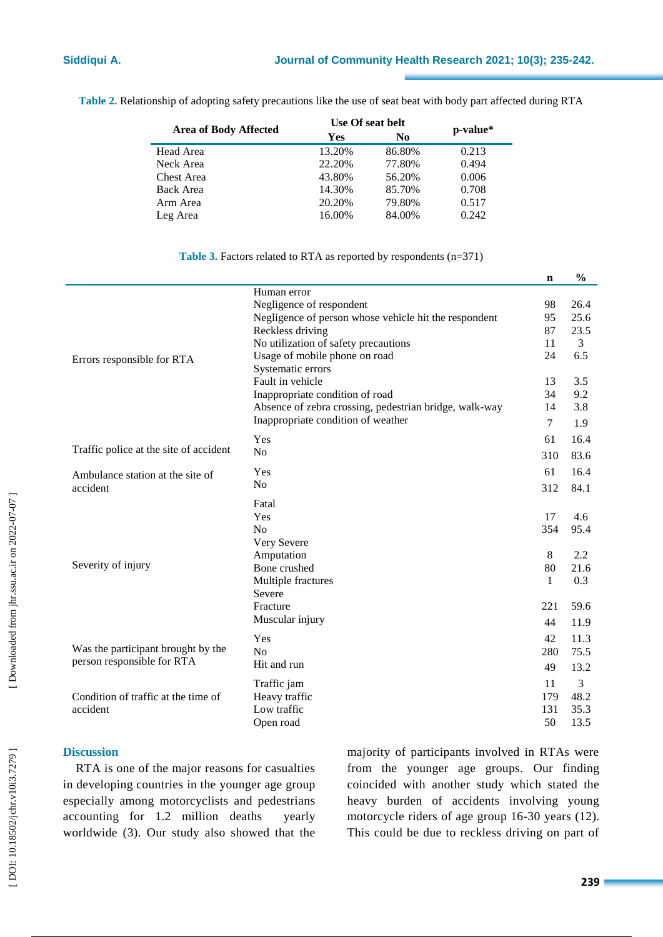|                              | Use Of seat belt | p-value* |       |  |
|------------------------------|------------------|----------|-------|--|
| <b>Area of Body Affected</b> | Yes              | No       |       |  |
| Head Area                    | 13.20%           | 86.80%   | 0.213 |  |
| Neck Area                    | 22.20%           | 77.80%   | 0.494 |  |
| Chest Area                   | 43.80%           | 56.20%   | 0.006 |  |
| <b>Back Area</b>             | 14.30%           | 85.70%   | 0.708 |  |
| Arm Area                     | 20.20%           | 79.80%   | 0.517 |  |
| Leg Area                     | 16.00%           | 84.00%   | 0.242 |  |

**Table 2.** Relationship of adopting safety precautions like the use of seat beat with body part affected during RTA

### **Table 3.** Factors related to RTA as reported by respondents (n=371)

|                                        |                                                        | $\mathbf n$    | $\frac{0}{0}$  |
|----------------------------------------|--------------------------------------------------------|----------------|----------------|
|                                        | Human error                                            |                |                |
|                                        | Negligence of respondent                               | 98             | 26.4           |
|                                        | Negligence of person whose vehicle hit the respondent  | 95             | 25.6           |
|                                        | Reckless driving                                       | 87             | 23.5           |
|                                        | No utilization of safety precautions                   | 11             | $\overline{3}$ |
| Errors responsible for RTA             | Usage of mobile phone on road                          | 24             | 6.5            |
|                                        | Systematic errors                                      |                |                |
|                                        | Fault in vehicle                                       | 13             | 3.5            |
|                                        | Inappropriate condition of road                        | 34<br>14       | 9.2<br>3.8     |
|                                        | Absence of zebra crossing, pedestrian bridge, walk-way |                |                |
|                                        | Inappropriate condition of weather                     | $\overline{7}$ | 1.9            |
|                                        | Yes                                                    | 61             | 16.4           |
| Traffic police at the site of accident | N <sub>0</sub>                                         | 310            | 83.6           |
| Ambulance station at the site of       | Yes                                                    | 61             | 16.4           |
| accident                               | N <sub>o</sub>                                         | 312            | 84.1           |
|                                        | Fatal                                                  |                |                |
|                                        | Yes                                                    | 17             | 4.6            |
|                                        | No                                                     | 354            | 95.4           |
|                                        | Very Severe                                            |                |                |
|                                        | Amputation                                             | 8              | 2.2            |
| Severity of injury                     | Bone crushed                                           | 80             | 21.6           |
|                                        | Multiple fractures                                     | $\mathbf{1}$   | 0.3            |
|                                        | Severe                                                 |                |                |
|                                        | Fracture                                               | 221            | 59.6           |
|                                        | Muscular injury                                        | 44             | 11.9           |
|                                        | Yes                                                    | 42             | 11.3           |
| Was the participant brought by the     | N <sub>o</sub>                                         | 280            | 75.5           |
| person responsible for RTA             | Hit and run                                            | 49             | 13.2           |
|                                        | Traffic jam                                            | 11             | 3              |
| Condition of traffic at the time of    | Heavy traffic                                          | 179            | 48.2           |
| accident                               | Low traffic                                            | 131            | 35.3           |
|                                        | Open road                                              | 50             | 13.5           |

# **Discussion**

RTA is one of the major reasons for casualties in developing countries in the younger age group especially among motorcyclists and pedestrians accounting for 1.2 million deaths yearly worldwide ( 3 ) . Our study also showed that the majority of participants involved in RTAs were from the younger age groups. Our finding coincided with anothe r study which stated the heavy burden of accidents involving young motorcycle riders of age group 16 -30 years (12 ). This could be due to reckless driving on part of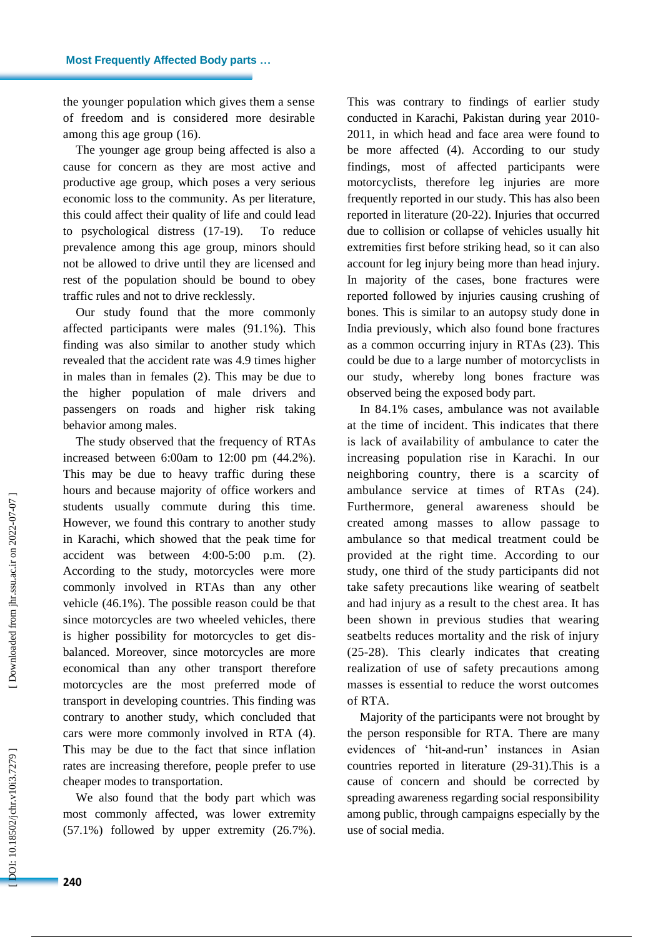the younger population which gives them a sense of freedom and is considered more desirable among this age group (16 ).

The younger age group being affected is also a cause for concern as they are most active and productive age group, which poses a very serious economic loss to the community. As per literature, this could affect their quality of life and could lead to psychological distress (17 -19 ) . To reduce prevalence among this age group, minors should not be allowed to drive until they are licensed and rest of the population should be bound to obey traffic rules and not to drive recklessly .

Our study found that the more commonly affected participants were males (91.1%) . This finding was also similar to another study which revealed that the accident rate was 4.9 times higher in males than in females ( 2 ). This may be due to the higher population of male drivers and passengers on roads and higher risk taking behavior among males.

The study observed that the frequency of RTA s increased between 6:00am to 12:00 pm (44.2%). This may be due to heavy traffic during these hours and because majority of office workers and students usually commute during this time. However, we found this contrary to another study in Karachi, which showed that the peak time for accident was between 4:00-5:00 p.m. (2). According to the study, motorcycles were more commonly involved in RTA s than any other vehicle (46.1%). The possible reason could be that since motorcycles are two wheeled vehicles , there is higher possibility for motorcycles to get dis balanced. Moreover, since motorcycles are more economical than any other transport therefore motorcycles are the most preferred mode of transport in developing countries. This finding was contrary to another study, which concluded that cars were more commonly involved in RTA (4). This may be due to the fact that since inflation rates are increasing therefore, people prefer to use cheaper modes to transportation.

We also found that the body part which was most commonly affected , was lower extremity (57.1%) followed by upper extremity (26.7%). This was contrary to findings of earlier study conducted in Karachi, Pakistan during year 2010 - 2011, in which head and face area were found to be more affected ( 4 ). According to our study findings, most of affected participants were motorcyclists, therefore leg injuries are more frequently reported in our study. This has also been reported in literature (20 -22 ) . Injuries that occurred due to collision or collapse of vehicles usually hit extremities first before striking head, so it can also account for leg injury being more than head injury. In majority of the cases, bone fractures were reported followed by injuries causing crushing of bones. This is similar to an autopsy study done in India previously, which also found bone fractures as a common occurring injury in RTAs (23 ). This could be due to a large number of motorcyclists in our study, whereby long bones fracture was observed being the exposed body part.

In 84.1% cases, ambulance was not available at the time of incident. This indicates that there is lack of availability of ambulance to cater the increasing population rise in Karachi. In our neighboring country, there is a scarcity of ambulance service at times of RTAs (24). Furthermore, general awareness should be created among masses to allow passage to ambulance so that medical treatment could be provided at the right time . According to our study, one third of the study participants did not take safety precautions like wearing of seatbelt and had injury as a result to the chest area. It has been shown in previous studies that wearing seatbelts reduces mortality and the risk of injury (25-28). This clearly indicates that creating realization of use of safety precautions among masses is essential to reduce the worst outcomes of RTA.

Majority of the participant s were not brought by the person responsible for RTA. There are many evidences of 'hit-and-run' instances in Asian countries reported in literature (29 -31 ) .This is a cause of concern and should be corrected by spreading awareness regarding social responsibility among public, through campaigns especially by the use of social media.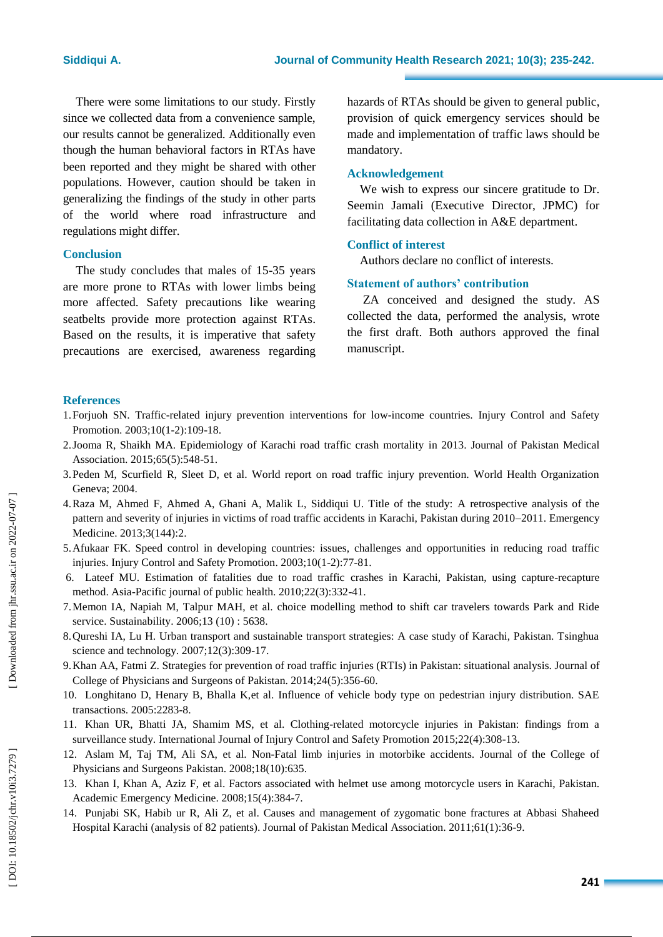There were some limitations to our study. Firstly since we collected data from a convenience sample, our results cannot be generalized. Additionally even though the human behavioral factors in RTAs have been reported and they might be shared with other populations. However, caution should be taken in generalizing the findings of the study in other parts of the world where road infrastructure and regulations might differ.

### **Conclusion**

The study concludes that males of 15 -35 years are more prone to RTAs with lower limbs being more affected. Safety precautions like wearing seatbelts provide more protection against RTAs. Based on the results, it is imperative that safety precautions are exercised, awareness regarding

hazards of RTAs should be given to general public, provision of quick emergency services should be made and implementation of traffic laws should be mandatory .

#### **Acknowledgement**

We wish to express our sincere gratitude to Dr. Seemin Jamali (Executive Director, JPMC) for facilitating data collection in A&E department.

### **Conflict of interest**

Authors declare no conflict of interests.

### **Statement of authors' contribution**

ZA conceived and designed the study. AS collected the data, performed the analysis, wrote the first draft. Both authors approved the final manuscript.

#### **References**

- 1.Forjuoh SN. Traffic -related injury prevention interventions for low -income countries. Injury Control and Safety Promotion. 2003;10(1-2):109-18.
- 2.Jooma R, Shaikh MA. Epidemiology of Karachi road traffic crash mortality in 2013. Journal of Pakistan Medical Association. 2015;65(5):548 -51.
- 3.Peden M, Scurfield R, Sleet D, et al. World report on road traffic injury prevention. World Health Organization Geneva; 2004.
- 4.Raza M, Ahmed F, Ahmed A, Ghani A, Malik L, Siddiqui U. Title of the study: A retrospective analysis of the pattern and severity of injuries in victims of road traffic accidents in Karachi, Pakistan during 2010–2011. Emergency Medicine. 2013;3(144):2.
- 5.Afukaar FK. Speed control in developing countries: issues, challenges and opportunities in reducing road traffic injuries. Injury Control and Safety Promotion. 2003;10(1-2):77-81.
- 6. Lateef MU. Estimation of fatalities due to road traffic crashes in Karachi, Pakistan, using capture -recapture method. Asia -Pacific journal of public health. 2010;22(3):332 -41.
- 7.Memon IA, Napiah M, Talpur MAH, et al. choice modelling method to shift car travelers towards Park and Ride service. Sustainability. 2006;13 (10) : 5638.
- 8.Qureshi IA, Lu H. Urban transport and sustainable transport strategies: A case study of Karachi, Pakistan. Tsinghua science and technology. 2007;12(3):309 -17.
- 9.Khan AA, Fatmi Z. Strategies for prevention of road traffic injuries (RTIs) in Pakistan: situational analysis. Journal of College of Physicians and Surgeons of Pakistan. 2014;24(5):356-60.
- 10. Longhitano D, Henary B, Bhalla K,et al. Influence of vehicle body type on pedestrian injury distribution. SAE transactions. 2005:2283 -8.
- 11. Khan UR, Bhatti JA, Shamim MS, et al. Clothing -related motorcycle injuries in Pakistan: findings from a surveillance study. International Journal of Injury Control and Safety Promotion 2015;22(4):308-13.
- 12. Aslam M, Taj TM, Ali SA, et al. Non -Fatal limb injuries in motorbike accidents. Journal of the College of Physicians and Surgeons Pakistan. 2008;18(10):635.
- 13. Khan I, Khan A, Aziz F, et al. Factors associated with helmet use among motorcycle users in Karachi, Pakistan. Academic Emergency Medicine. 2008;15(4):384 -7.
- 14. Punjabi SK, Habib ur R, Ali Z, et al. Causes and management of zygomatic bone fractures at Abbasi Shaheed Hospital Karachi (analysis of 82 patients). Journal of Pakistan Medical Association. 2011;61(1):36 -9.